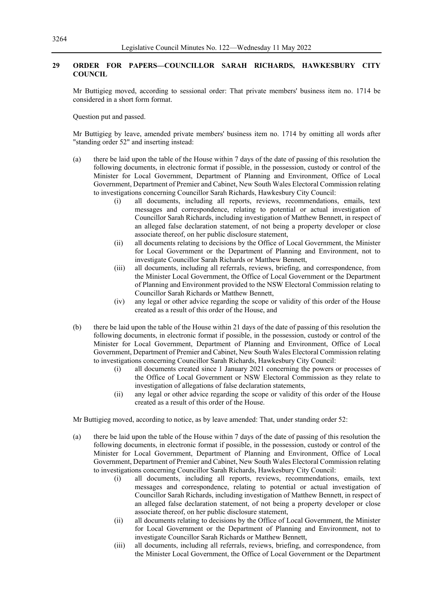## **29 ORDER FOR PAPERS—COUNCILLOR SARAH RICHARDS, HAWKESBURY CITY COUNCIL**

Mr Buttigieg moved, according to sessional order: That private members' business item no. 1714 be considered in a short form format.

Question put and passed.

Mr Buttigieg by leave, amended private members' business item no. 1714 by omitting all words after "standing order 52" and inserting instead:

- (a) there be laid upon the table of the House within 7 days of the date of passing of this resolution the following documents, in electronic format if possible, in the possession, custody or control of the Minister for Local Government, Department of Planning and Environment, Office of Local Government, Department of Premier and Cabinet, New South Wales Electoral Commission relating to investigations concerning Councillor Sarah Richards, Hawkesbury City Council:
	- (i) all documents, including all reports, reviews, recommendations, emails, text messages and correspondence, relating to potential or actual investigation of Councillor Sarah Richards, including investigation of Matthew Bennett, in respect of an alleged false declaration statement, of not being a property developer or close associate thereof, on her public disclosure statement,
	- (ii) all documents relating to decisions by the Office of Local Government, the Minister for Local Government or the Department of Planning and Environment, not to investigate Councillor Sarah Richards or Matthew Bennett,
	- (iii) all documents, including all referrals, reviews, briefing, and correspondence, from the Minister Local Government, the Office of Local Government or the Department of Planning and Environment provided to the NSW Electoral Commission relating to Councillor Sarah Richards or Matthew Bennett,
	- (iv) any legal or other advice regarding the scope or validity of this order of the House created as a result of this order of the House, and
- (b) there be laid upon the table of the House within 21 days of the date of passing of this resolution the following documents, in electronic format if possible, in the possession, custody or control of the Minister for Local Government, Department of Planning and Environment, Office of Local Government, Department of Premier and Cabinet, New South Wales Electoral Commission relating to investigations concerning Councillor Sarah Richards, Hawkesbury City Council:
	- (i) all documents created since 1 January 2021 concerning the powers or processes of the Office of Local Government or NSW Electoral Commission as they relate to investigation of allegations of false declaration statements,
	- (ii) any legal or other advice regarding the scope or validity of this order of the House created as a result of this order of the House.

Mr Buttigieg moved, according to notice, as by leave amended: That, under standing order 52:

- (a) there be laid upon the table of the House within 7 days of the date of passing of this resolution the following documents, in electronic format if possible, in the possession, custody or control of the Minister for Local Government, Department of Planning and Environment, Office of Local Government, Department of Premier and Cabinet, New South Wales Electoral Commission relating to investigations concerning Councillor Sarah Richards, Hawkesbury City Council:
	- (i) all documents, including all reports, reviews, recommendations, emails, text messages and correspondence, relating to potential or actual investigation of Councillor Sarah Richards, including investigation of Matthew Bennett, in respect of an alleged false declaration statement, of not being a property developer or close associate thereof, on her public disclosure statement,
	- (ii) all documents relating to decisions by the Office of Local Government, the Minister for Local Government or the Department of Planning and Environment, not to investigate Councillor Sarah Richards or Matthew Bennett,
	- (iii) all documents, including all referrals, reviews, briefing, and correspondence, from the Minister Local Government, the Office of Local Government or the Department